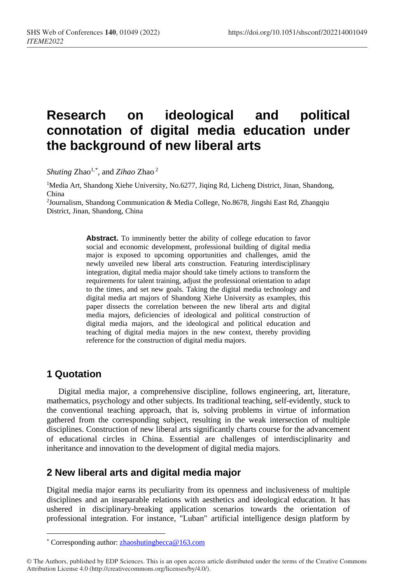# **Research on ideological and political connotation of digital media education under the background of new liberal arts**

Shuting Zhao<sup>1,[\\*](#page-0-0)</sup>, and *Zihao* Zhao<sup>2</sup>

<sup>1</sup>Media Art, Shandong Xiehe University, No.6277, Jiqing Rd, Licheng District, Jinan, Shandong, China

2Journalism, Shandong Communication & Media College, No.8678, Jingshi East Rd, Zhangqiu District, Jinan, Shandong, China

> Abstract. To imminently better the ability of college education to favor social and economic development, professional building of digital media major is exposed to upcoming opportunities and challenges, amid the newly unveiled new liberal arts construction. Featuring interdisciplinary integration, digital media major should take timely actions to transform the requirements for talent training, adjust the professional orientation to adapt to the times, and set new goals. Taking the digital media technology and digital media art majors of Shandong Xiehe University as examples, this paper dissects the correlation between the new liberal arts and digital media majors, deficiencies of ideological and political construction of digital media majors, and the ideological and political education and teaching of digital media majors in the new context, thereby providing reference for the construction of digital media majors.

## **1 Quotation**

 $\overline{a}$ 

Digital media major, a comprehensive discipline, follows engineering, art, literature, mathematics, psychology and other subjects. Its traditional teaching, self-evidently, stuck to the conventional teaching approach, that is, solving problems in virtue of information gathered from the corresponding subject, resulting in the weak intersection of multiple disciplines. Construction of new liberal arts significantly charts course for the advancement of educational circles in China. Essential are challenges of interdisciplinarity and inheritance and innovation to the development of digital media majors.

### **2 New liberal arts and digital media major**

Digital media major earns its peculiarity from its openness and inclusiveness of multiple disciplines and an inseparable relations with aesthetics and ideological education. It has ushered in disciplinary-breaking application scenarios towards the orientation of professional integration. For instance, "Luban" artificial intelligence design platform by

<sup>\*</sup> Corresponding author[: zhaoshutingbecca@163.com](mailto:zhaoshutingbecca@163.com)

<span id="page-0-0"></span><sup>©</sup> The Authors, published by EDP Sciences. This is an open access article distributed under the terms of the Creative Commons Attribution License 4.0 (http://creativecommons.org/licenses/by/4.0/).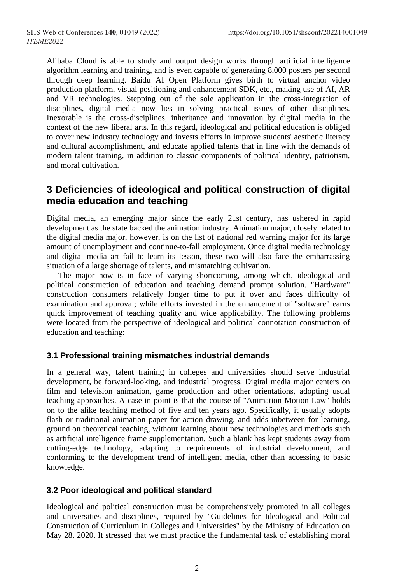Alibaba Cloud is able to study and output design works through artificial intelligence algorithm learning and training, and is even capable of generating 8,000 posters per second through deep learning. Baidu AI Open Platform gives birth to virtual anchor video production platform, visual positioning and enhancement SDK, etc., making use of AI, AR and VR technologies. Stepping out of the sole application in the cross-integration of disciplines, digital media now lies in solving practical issues of other disciplines. Inexorable is the cross-disciplines, inheritance and innovation by digital media in the context of the new liberal arts. In this regard, ideological and political education is obliged to cover new industry technology and invests efforts in improve students' aesthetic literacy and cultural accomplishment, and educate applied talents that in line with the demands of modern talent training, in addition to classic components of political identity, patriotism, and moral cultivation.

## **3 Deficiencies of ideological and political construction of digital media education and teaching**

Digital media, an emerging major since the early 21st century, has ushered in rapid development as the state backed the animation industry. Animation major, closely related to the digital media major, however, is on the list of national red warning major for its large amount of unemployment and continue-to-fall employment. Once digital media technology and digital media art fail to learn its lesson, these two will also face the embarrassing situation of a large shortage of talents, and mismatching cultivation.

The major now is in face of varying shortcoming, among which, ideological and political construction of education and teaching demand prompt solution. "Hardware" construction consumers relatively longer time to put it over and faces difficulty of examination and approval; while efforts invested in the enhancement of "software" earns quick improvement of teaching quality and wide applicability. The following problems were located from the perspective of ideological and political connotation construction of education and teaching:

### **3.1 Professional training mismatches industrial demands**

In a general way, talent training in colleges and universities should serve industrial development, be forward-looking, and industrial progress. Digital media major centers on film and television animation, game production and other orientations, adopting usual teaching approaches. A case in point is that the course of "Animation Motion Law" holds on to the alike teaching method of five and ten years ago. Specifically, it usually adopts flash or traditional animation paper for action drawing, and adds inbetween for learning, ground on theoretical teaching, without learning about new technologies and methods such as artificial intelligence frame supplementation. Such a blank has kept students away from cutting-edge technology, adapting to requirements of industrial development, and conforming to the development trend of intelligent media, other than accessing to basic knowledge.

#### **3.2 Poor ideological and political standard**

Ideological and political construction must be comprehensively promoted in all colleges and universities and disciplines, required by "Guidelines for Ideological and Political Construction of Curriculum in Colleges and Universities" by the Ministry of Education on May 28, 2020. It stressed that we must practice the fundamental task of establishing moral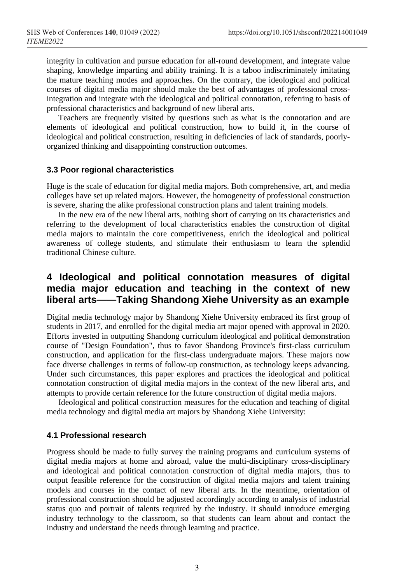integrity in cultivation and pursue education for all-round development, and integrate value shaping, knowledge imparting and ability training. It is a taboo indiscriminately imitating the mature teaching modes and approaches. On the contrary, the ideological and political courses of digital media major should make the best of advantages of professional crossintegration and integrate with the ideological and political connotation, referring to basis of professional characteristics and background of new liberal arts.

Teachers are frequently visited by questions such as what is the connotation and are elements of ideological and political construction, how to build it, in the course of ideological and political construction, resulting in deficiencies of lack of standards, poorlyorganized thinking and disappointing construction outcomes.

#### **3.3 Poor regional characteristics**

Huge is the scale of education for digital media majors. Both comprehensive, art, and media colleges have set up related majors. However, the homogeneity of professional construction is severe, sharing the alike professional construction plans and talent training models.

In the new era of the new liberal arts, nothing short of carrying on its characteristics and referring to the development of local characteristics enables the construction of digital media majors to maintain the core competitiveness, enrich the ideological and political awareness of college students, and stimulate their enthusiasm to learn the splendid traditional Chinese culture.

### **4 Ideological and political connotation measures of digital media major education and teaching in the context of new liberal arts——Taking Shandong Xiehe University as an example**

Digital media technology major by Shandong Xiehe University embraced its first group of students in 2017, and enrolled for the digital media art major opened with approval in 2020. Efforts invested in outputting Shandong curriculum ideological and political demonstration course of "Design Foundation", thus to favor Shandong Province's first-class curriculum construction, and application for the first-class undergraduate majors. These majors now face diverse challenges in terms of follow-up construction, as technology keeps advancing. Under such circumstances, this paper explores and practices the ideological and political connotation construction of digital media majors in the context of the new liberal arts, and attempts to provide certain reference for the future construction of digital media majors.

Ideological and political construction measures for the education and teaching of digital media technology and digital media art majors by Shandong Xiehe University:

#### **4.1 Professional research**

Progress should be made to fully survey the training programs and curriculum systems of digital media majors at home and abroad, value the multi-disciplinary cross-disciplinary and ideological and political connotation construction of digital media majors, thus to output feasible reference for the construction of digital media majors and talent training models and courses in the contact of new liberal arts. In the meantime, orientation of professional construction should be adjusted accordingly according to analysis of industrial status quo and portrait of talents required by the industry. It should introduce emerging industry technology to the classroom, so that students can learn about and contact the industry and understand the needs through learning and practice.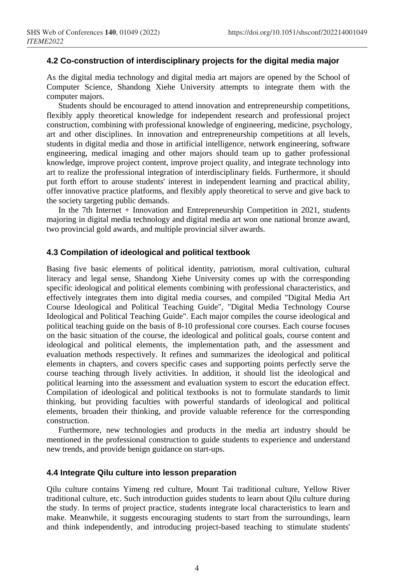#### **4.2 Co-construction of interdisciplinary projects for the digital media major**

As the digital media technology and digital media art majors are opened by the School of Computer Science, Shandong Xiehe University attempts to integrate them with the computer majors.

Students should be encouraged to attend innovation and entrepreneurship competitions, flexibly apply theoretical knowledge for independent research and professional project construction, combining with professional knowledge of engineering, medicine, psychology, art and other disciplines. In innovation and entrepreneurship competitions at all levels, students in digital media and those in artificial intelligence, network engineering, software engineering, medical imaging and other majors should team up to gather professional knowledge, improve project content, improve project quality, and integrate technology into art to realize the professional integration of interdisciplinary fields. Furthermore, it should put forth effort to arouse students' interest in independent learning and practical ability, offer innovative practice platforms, and flexibly apply theoretical to serve and give back to the society targeting public demands.

In the 7th Internet + Innovation and Entrepreneurship Competition in 2021, students majoring in digital media technology and digital media art won one national bronze award, two provincial gold awards, and multiple provincial silver awards.

#### **4.3 Compilation of ideological and political textbook**

Basing five basic elements of political identity, patriotism, moral cultivation, cultural literacy and legal sense, Shandong Xiehe University comes up with the corresponding specific ideological and political elements combining with professional characteristics, and effectively integrates them into digital media courses, and compiled "Digital Media Art Course Ideological and Political Teaching Guide", "Digital Media Technology Course Ideological and Political Teaching Guide". Each major compiles the course ideological and political teaching guide on the basis of 8-10 professional core courses. Each course focuses on the basic situation of the course, the ideological and political goals, course content and ideological and political elements, the implementation path, and the assessment and evaluation methods respectively. It refines and summarizes the ideological and political elements in chapters, and covers specific cases and supporting points perfectly serve the course teaching through lively activities. In addition, it should list the ideological and political learning into the assessment and evaluation system to escort the education effect. Compilation of ideological and political textbooks is not to formulate standards to limit thinking, but providing faculties with powerful standards of ideological and political elements, broaden their thinking, and provide valuable reference for the corresponding construction.

Furthermore, new technologies and products in the media art industry should be mentioned in the professional construction to guide students to experience and understand new trends, and provide benign guidance on start-ups.

#### **4.4 Integrate Qilu culture into lesson preparation**

Qilu culture contains Yimeng red culture, Mount Tai traditional culture, Yellow River traditional culture, etc. Such introduction guides students to learn about Qilu culture during the study. In terms of project practice, students integrate local characteristics to learn and make. Meanwhile, it suggests encouraging students to start from the surroundings, learn and think independently, and introducing project-based teaching to stimulate students'